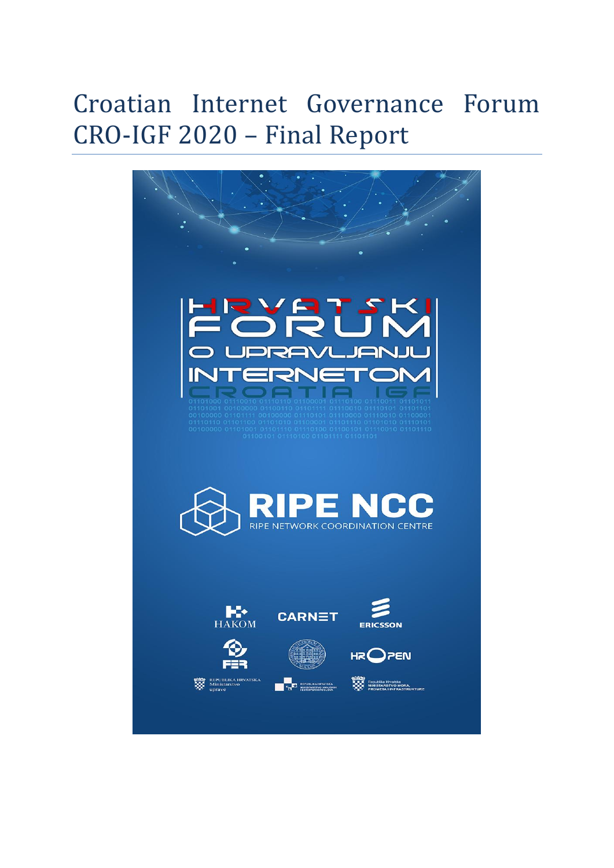# Croatian Internet Governance Forum CRO-IGF 2020 – Final Report

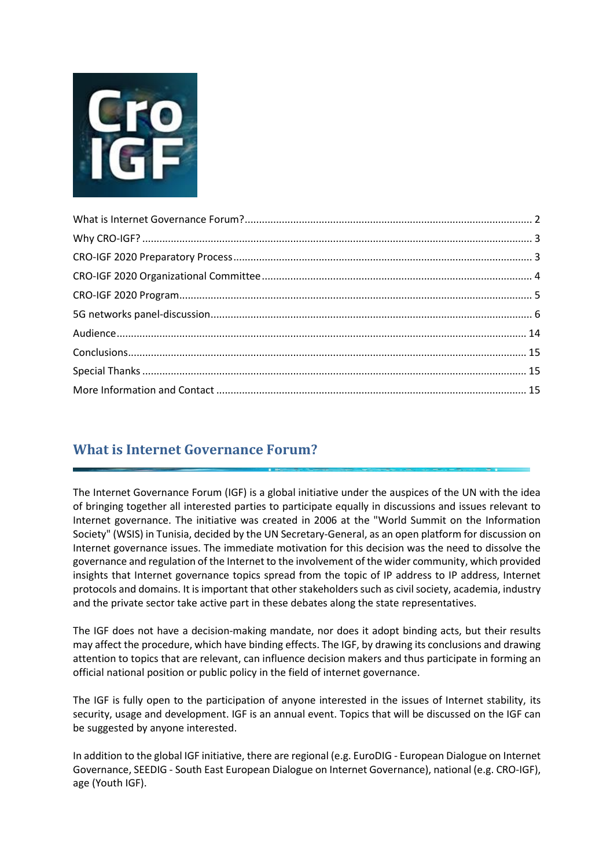

# <span id="page-1-0"></span>**What is Internet Governance Forum?**

The Internet Governance Forum (IGF) is a global initiative under the auspices of the UN with the idea of bringing together all interested parties to participate equally in discussions and issues relevant to Internet governance. The initiative was created in 2006 at the "World Summit on the Information Society" (WSIS) in Tunisia, decided by the UN Secretary-General, as an open platform for discussion on Internet governance issues. The immediate motivation for this decision was the need to dissolve the governance and regulation of the Internet to the involvement of the wider community, which provided insights that Internet governance topics spread from the topic of IP address to IP address, Internet protocols and domains. It is important that other stakeholders such as civil society, academia, industry and the private sector take active part in these debates along the state representatives.

The IGF does not have a decision-making mandate, nor does it adopt binding acts, but their results may affect the procedure, which have binding effects. The IGF, by drawing its conclusions and drawing attention to topics that are relevant, can influence decision makers and thus participate in forming an official national position or public policy in the field of internet governance.

The IGF is fully open to the participation of anyone interested in the issues of Internet stability, its security, usage and development. IGF is an annual event. Topics that will be discussed on the IGF can be suggested by anyone interested.

In addition to the global IGF initiative, there are regional (e.g. EuroDIG - European Dialogue on Internet Governance, SEEDIG - South East European Dialogue on Internet Governance), national (e.g. CRO-IGF), age (Youth IGF).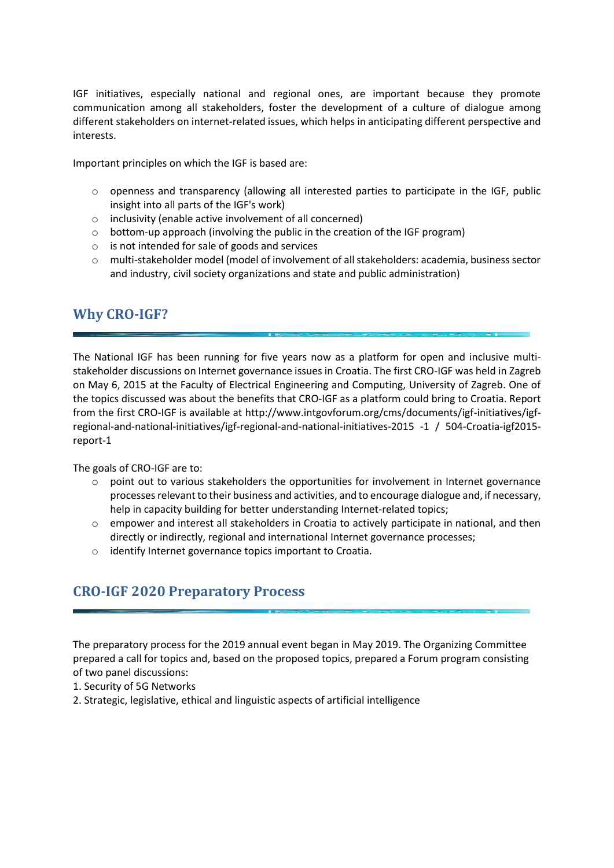IGF initiatives, especially national and regional ones, are important because they promote communication among all stakeholders, foster the development of a culture of dialogue among different stakeholders on internet-related issues, which helps in anticipating different perspective and interests.

Important principles on which the IGF is based are:

- o openness and transparency (allowing all interested parties to participate in the IGF, public insight into all parts of the IGF's work)
- o inclusivity (enable active involvement of all concerned)
- o bottom-up approach (involving the public in the creation of the IGF program)
- o is not intended for sale of goods and services
- o multi-stakeholder model (model of involvement of all stakeholders: academia, business sector and industry, civil society organizations and state and public administration)

## <span id="page-2-0"></span>**Why CRO-IGF?**

The National IGF has been running for five years now as a platform for open and inclusive multistakeholder discussions on Internet governance issues in Croatia. The first CRO-IGF was held in Zagreb on May 6, 2015 at the Faculty of Electrical Engineering and Computing, University of Zagreb. One of the topics discussed was about the benefits that CRO-IGF as a platform could bring to Croatia. Report from the first CRO-IGF is available at http://www.intgovforum.org/cms/documents/igf-initiatives/igfregional-and-national-initiatives/igf-regional-and-national-initiatives-2015 -1 / 504-Croatia-igf2015 report-1

The goals of CRO-IGF are to:

- $\circ$  point out to various stakeholders the opportunities for involvement in Internet governance processes relevant to their business and activities, and to encourage dialogue and, if necessary, help in capacity building for better understanding Internet-related topics;
- o empower and interest all stakeholders in Croatia to actively participate in national, and then directly or indirectly, regional and international Internet governance processes;
- <span id="page-2-1"></span>o identify Internet governance topics important to Croatia.

# **CRO-IGF 2020 Preparatory Process**

The preparatory process for the 2019 annual event began in May 2019. The Organizing Committee prepared a call for topics and, based on the proposed topics, prepared a Forum program consisting of two panel discussions:

- 1. Security of 5G Networks
- 2. Strategic, legislative, ethical and linguistic aspects of artificial intelligence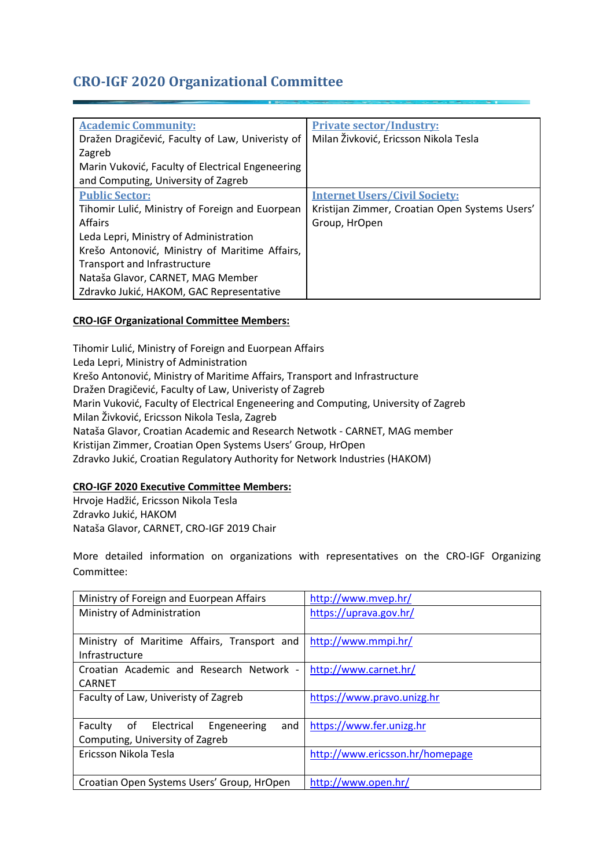# <span id="page-3-0"></span>**CRO-IGF 2020 Organizational Committee**

| <b>Academic Community:</b>                       | <b>Private sector/Industry:</b>                |
|--------------------------------------------------|------------------------------------------------|
| Dražen Dragičević, Faculty of Law, Univeristy of | Milan Živković, Ericsson Nikola Tesla          |
| Zagreb                                           |                                                |
| Marin Vuković, Faculty of Electrical Engeneering |                                                |
| and Computing, University of Zagreb              |                                                |
| <b>Public Sector:</b>                            | <b>Internet Users/Civil Society:</b>           |
| Tihomir Lulić, Ministry of Foreign and Euorpean  | Kristijan Zimmer, Croatian Open Systems Users' |
| <b>Affairs</b>                                   | Group, HrOpen                                  |
| Leda Lepri, Ministry of Administration           |                                                |
| Krešo Antonović, Ministry of Maritime Affairs,   |                                                |
| <b>Transport and Infrastructure</b>              |                                                |
| Nataša Glavor, CARNET, MAG Member                |                                                |
| Zdravko Jukić, HAKOM, GAC Representative         |                                                |

#### **CRO-IGF Organizational Committee Members:**

Tihomir Lulić, Ministry of Foreign and Euorpean Affairs Leda Lepri, Ministry of Administration Krešo Antonović, Ministry of Maritime Affairs, Transport and Infrastructure Dražen Dragičević, Faculty of Law, Univeristy of Zagreb Marin Vuković, Faculty of Electrical Engeneering and Computing, University of Zagreb Milan Živković, Ericsson Nikola Tesla, Zagreb Nataša Glavor, Croatian Academic and Research Netwotk - CARNET, MAG member Kristijan Zimmer, Croatian Open Systems Users' Group, HrOpen Zdravko Jukić, Croatian Regulatory Authority for Network Industries (HAKOM)

#### **CRO-IGF 2020 Executive Committee Members:**

Hrvoje Hadžić, Ericsson Nikola Tesla Zdravko Jukić, HAKOM Nataša Glavor, CARNET, CRO-IGF 2019 Chair

More detailed information on organizations with representatives on the CRO-IGF Organizing Committee:

| Ministry of Foreign and Euorpean Affairs       | http://www.mvep.hr/             |
|------------------------------------------------|---------------------------------|
| Ministry of Administration                     | https://uprava.gov.hr/          |
|                                                |                                 |
| Ministry of Maritime Affairs, Transport and    | http://www.mmpi.hr/             |
| Infrastructure                                 |                                 |
| Croatian Academic and Research Network -       | http://www.carnet.hr/           |
| <b>CARNET</b>                                  |                                 |
| Faculty of Law, Univeristy of Zagreb           | https://www.pravo.unizg.hr      |
|                                                |                                 |
| of Electrical<br>Engeneering<br>Faculty<br>and | https://www.fer.unizg.hr        |
| Computing, University of Zagreb                |                                 |
| Ericsson Nikola Tesla                          | http://www.ericsson.hr/homepage |
|                                                |                                 |
| Croatian Open Systems Users' Group, HrOpen     | http://www.open.hr/             |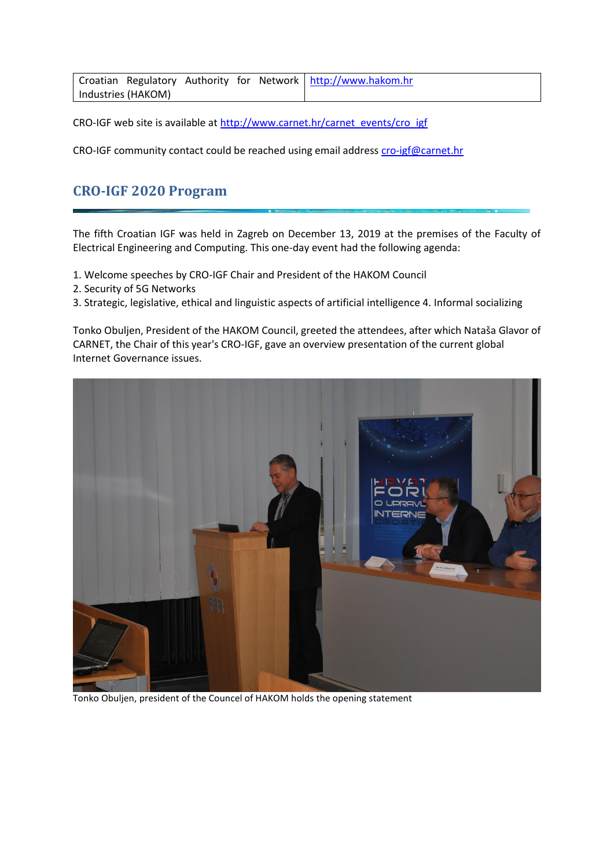|                    |  | Croatian Regulatory Authority for Network   http://www.hakom.hr |
|--------------------|--|-----------------------------------------------------------------|
| Industries (HAKOM) |  |                                                                 |

CRO-IGF web site is available at [http://www.carnet.hr/carnet\\_events/cro\\_igf](http://www.carnet.hr/carnet_events/cro_igf)

<span id="page-4-0"></span>CRO-IGF community contact could be reached using email addres[s cro-igf@carnet.hr](mailto:cro-igf@carnet.hr)

## **CRO-IGF 2020 Program**

The fifth Croatian IGF was held in Zagreb on December 13, 2019 at the premises of the Faculty of Electrical Engineering and Computing. This one-day event had the following agenda:

- 1. Welcome speeches by CRO-IGF Chair and President of the HAKOM Council
- 2. Security of 5G Networks
- 3. Strategic, legislative, ethical and linguistic aspects of artificial intelligence 4. Informal socializing

Tonko Obuljen, President of the HAKOM Council, greeted the attendees, after which Nataša Glavor of CARNET, the Chair of this year's CRO-IGF, gave an overview presentation of the current global Internet Governance issues.



Tonko Obuljen, president of the Councel of HAKOM holds the opening statement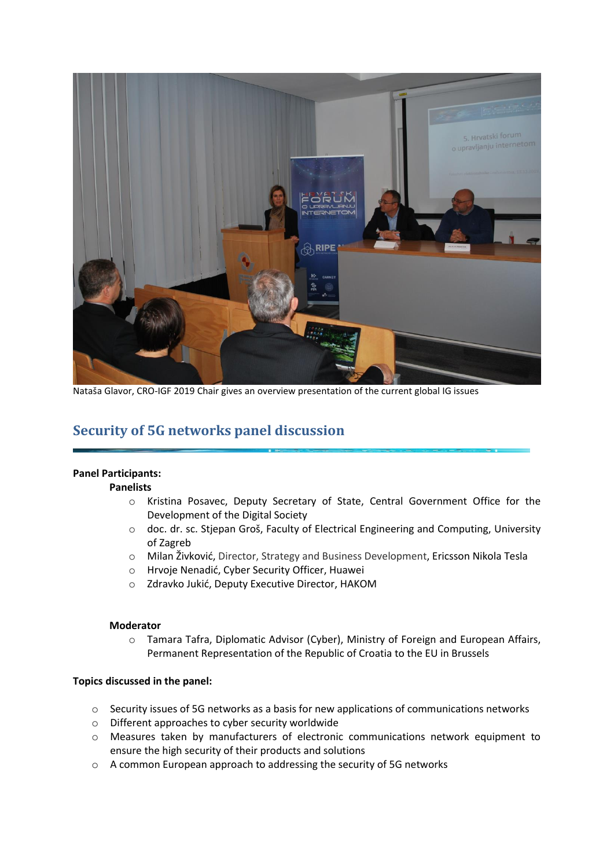

Nataša Glavor, CRO-IGF 2019 Chair gives an overview presentation of the current global IG issues

## <span id="page-5-0"></span>**Security of 5G networks panel discussion**

#### **Panel Participants:**

#### **Panelists**

- o Kristina Posavec, Deputy Secretary of State, Central Government Office for the Development of the Digital Society
- o doc. dr. sc. Stjepan Groš, Faculty of Electrical Engineering and Computing, University of Zagreb
- o Milan Živković, Director, Strategy and Business Development, Ericsson Nikola Tesla
- o Hrvoje Nenadić, Cyber Security Officer, Huawei
- o Zdravko Jukić, Deputy Executive Director, HAKOM

#### **Moderator**

o Tamara Tafra, Diplomatic Advisor (Cyber), Ministry of Foreign and European Affairs, Permanent Representation of the Republic of Croatia to the EU in Brussels

#### **Topics discussed in the panel:**

- $\circ$  Security issues of 5G networks as a basis for new applications of communications networks
- o Different approaches to cyber security worldwide
- o Measures taken by manufacturers of electronic communications network equipment to ensure the high security of their products and solutions
- o A common European approach to addressing the security of 5G networks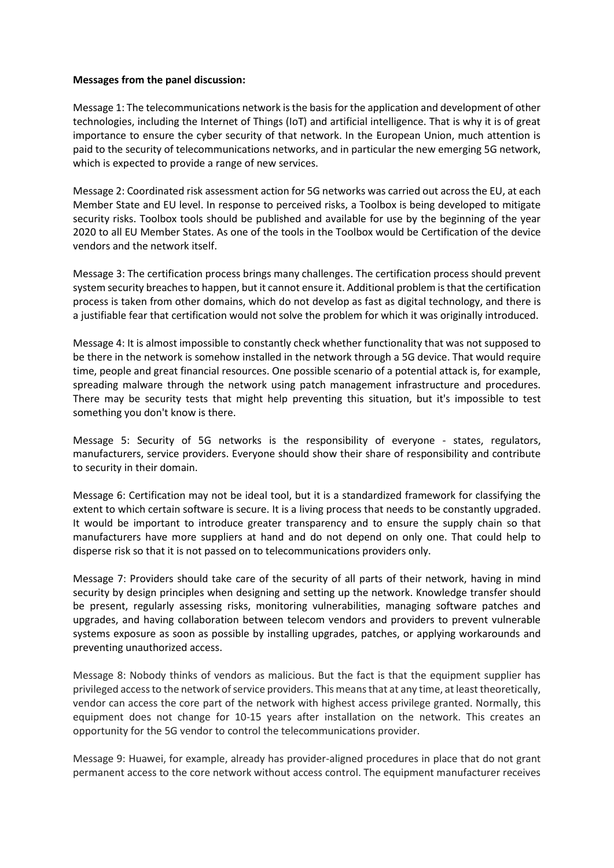#### **Messages from the panel discussion:**

Message 1: The telecommunications network is the basis for the application and development of other technologies, including the Internet of Things (IoT) and artificial intelligence. That is why it is of great importance to ensure the cyber security of that network. In the European Union, much attention is paid to the security of telecommunications networks, and in particular the new emerging 5G network, which is expected to provide a range of new services.

Message 2: Coordinated risk assessment action for 5G networks was carried out across the EU, at each Member State and EU level. In response to perceived risks, a Toolbox is being developed to mitigate security risks. Toolbox tools should be published and available for use by the beginning of the year 2020 to all EU Member States. As one of the tools in the Toolbox would be Certification of the device vendors and the network itself.

Message 3: The certification process brings many challenges. The certification process should prevent system security breachesto happen, but it cannot ensure it. Additional problem is that the certification process is taken from other domains, which do not develop as fast as digital technology, and there is a justifiable fear that certification would not solve the problem for which it was originally introduced.

Message 4: It is almost impossible to constantly check whether functionality that was not supposed to be there in the network is somehow installed in the network through a 5G device. That would require time, people and great financial resources. One possible scenario of a potential attack is, for example, spreading malware through the network using patch management infrastructure and procedures. There may be security tests that might help preventing this situation, but it's impossible to test something you don't know is there.

Message 5: Security of 5G networks is the responsibility of everyone - states, regulators, manufacturers, service providers. Everyone should show their share of responsibility and contribute to security in their domain.

Message 6: Certification may not be ideal tool, but it is a standardized framework for classifying the extent to which certain software is secure. It is a living process that needs to be constantly upgraded. It would be important to introduce greater transparency and to ensure the supply chain so that manufacturers have more suppliers at hand and do not depend on only one. That could help to disperse risk so that it is not passed on to telecommunications providers only.

Message 7: Providers should take care of the security of all parts of their network, having in mind security by design principles when designing and setting up the network. Knowledge transfer should be present, regularly assessing risks, monitoring vulnerabilities, managing software patches and upgrades, and having collaboration between telecom vendors and providers to prevent vulnerable systems exposure as soon as possible by installing upgrades, patches, or applying workarounds and preventing unauthorized access.

Message 8: Nobody thinks of vendors as malicious. But the fact is that the equipment supplier has privileged access to the network of service providers. This means that at any time, at least theoretically, vendor can access the core part of the network with highest access privilege granted. Normally, this equipment does not change for 10-15 years after installation on the network. This creates an opportunity for the 5G vendor to control the telecommunications provider.

Message 9: Huawei, for example, already has provider-aligned procedures in place that do not grant permanent access to the core network without access control. The equipment manufacturer receives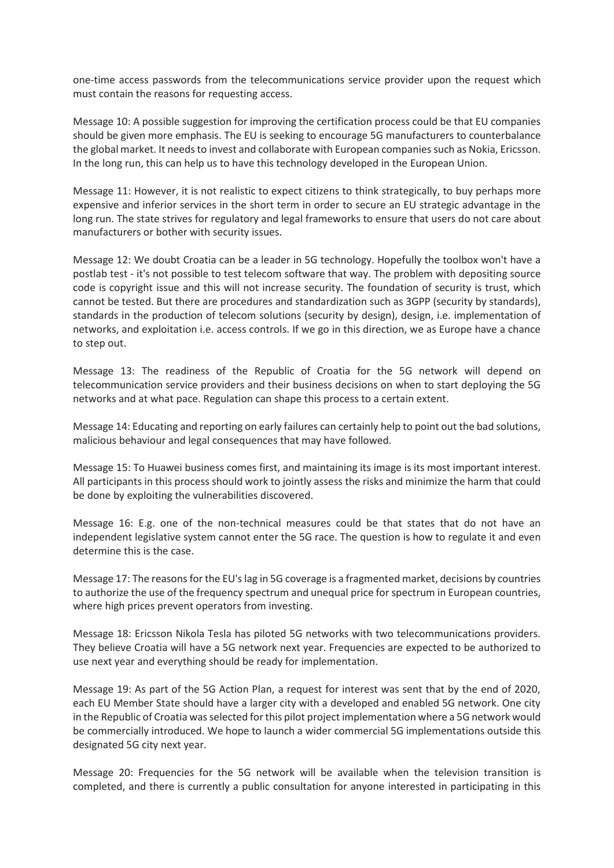one-time access passwords from the telecommunications service provider upon the request which must contain the reasons for requesting access.

Message 10: A possible suggestion for improving the certification process could be that EU companies should be given more emphasis. The EU is seeking to encourage 5G manufacturers to counterbalance the global market. It needs to invest and collaborate with European companies such as Nokia, Ericsson. In the long run, this can help us to have this technology developed in the European Union.

Message 11: However, it is not realistic to expect citizens to think strategically, to buy perhaps more expensive and inferior services in the short term in order to secure an EU strategic advantage in the long run. The state strives for regulatory and legal frameworks to ensure that users do not care about manufacturers or bother with security issues.

Message 12: We doubt Croatia can be a leader in 5G technology. Hopefully the toolbox won't have a postlab test - it's not possible to test telecom software that way. The problem with depositing source code is copyright issue and this will not increase security. The foundation of security is trust, which cannot be tested. But there are procedures and standardization such as 3GPP (security by standards), standards in the production of telecom solutions (security by design), design, i.e. implementation of networks, and exploitation i.e. access controls. If we go in this direction, we as Europe have a chance to step out.

Message 13: The readiness of the Republic of Croatia for the 5G network will depend on telecommunication service providers and their business decisions on when to start deploying the 5G networks and at what pace. Regulation can shape this process to a certain extent.

Message 14: Educating and reporting on early failures can certainly help to point out the bad solutions, malicious behaviour and legal consequences that may have followed.

Message 15: To Huawei business comes first, and maintaining its image is its most important interest. All participants in this process should work to jointly assess the risks and minimize the harm that could be done by exploiting the vulnerabilities discovered.

Message 16: E.g. one of the non-technical measures could be that states that do not have an independent legislative system cannot enter the 5G race. The question is how to regulate it and even determine this is the case.

Message 17: The reasons for the EU's lag in 5G coverage is a fragmented market, decisions by countries to authorize the use of the frequency spectrum and unequal price for spectrum in European countries, where high prices prevent operators from investing.

Message 18: Ericsson Nikola Tesla has piloted 5G networks with two telecommunications providers. They believe Croatia will have a 5G network next year. Frequencies are expected to be authorized to use next year and everything should be ready for implementation.

Message 19: As part of the 5G Action Plan, a request for interest was sent that by the end of 2020, each EU Member State should have a larger city with a developed and enabled 5G network. One city in the Republic of Croatia was selected for this pilot project implementation where a 5G network would be commercially introduced. We hope to launch a wider commercial 5G implementations outside this designated 5G city next year.

Message 20: Frequencies for the 5G network will be available when the television transition is completed, and there is currently a public consultation for anyone interested in participating in this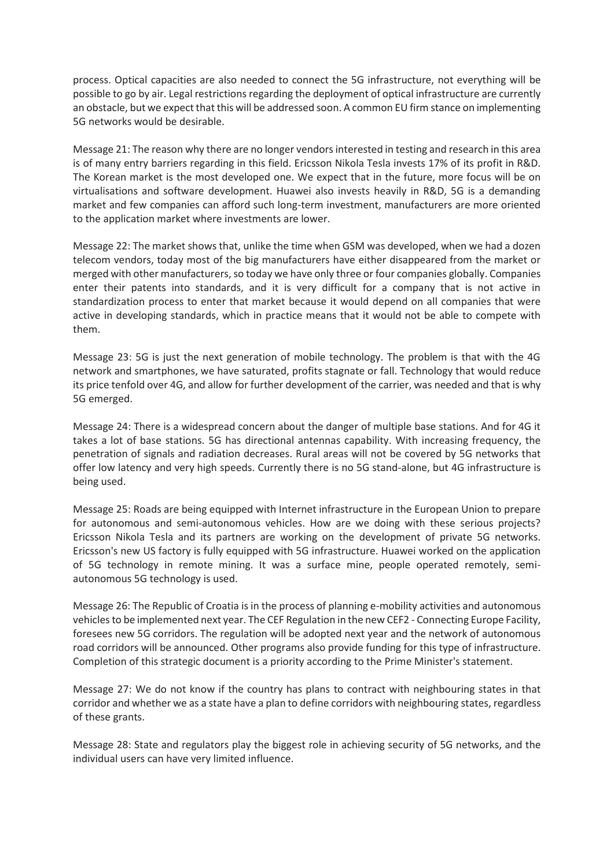process. Optical capacities are also needed to connect the 5G infrastructure, not everything will be possible to go by air. Legal restrictions regarding the deployment of optical infrastructure are currently an obstacle, but we expect that this will be addressed soon. A common EU firm stance on implementing 5G networks would be desirable.

Message 21: The reason why there are no longer vendorsinterested in testing and research in this area is of many entry barriers regarding in this field. Ericsson Nikola Tesla invests 17% of its profit in R&D. The Korean market is the most developed one. We expect that in the future, more focus will be on virtualisations and software development. Huawei also invests heavily in R&D, 5G is a demanding market and few companies can afford such long-term investment, manufacturers are more oriented to the application market where investments are lower.

Message 22: The market shows that, unlike the time when GSM was developed, when we had a dozen telecom vendors, today most of the big manufacturers have either disappeared from the market or merged with other manufacturers, so today we have only three or four companies globally. Companies enter their patents into standards, and it is very difficult for a company that is not active in standardization process to enter that market because it would depend on all companies that were active in developing standards, which in practice means that it would not be able to compete with them.

Message 23: 5G is just the next generation of mobile technology. The problem is that with the 4G network and smartphones, we have saturated, profits stagnate or fall. Technology that would reduce its price tenfold over 4G, and allow for further development of the carrier, was needed and that is why 5G emerged.

Message 24: There is a widespread concern about the danger of multiple base stations. And for 4G it takes a lot of base stations. 5G has directional antennas capability. With increasing frequency, the penetration of signals and radiation decreases. Rural areas will not be covered by 5G networks that offer low latency and very high speeds. Currently there is no 5G stand-alone, but 4G infrastructure is being used.

Message 25: Roads are being equipped with Internet infrastructure in the European Union to prepare for autonomous and semi-autonomous vehicles. How are we doing with these serious projects? Ericsson Nikola Tesla and its partners are working on the development of private 5G networks. Ericsson's new US factory is fully equipped with 5G infrastructure. Huawei worked on the application of 5G technology in remote mining. It was a surface mine, people operated remotely, semiautonomous 5G technology is used.

Message 26: The Republic of Croatia is in the process of planning e-mobility activities and autonomous vehicles to be implemented next year. The CEF Regulation in the new CEF2 - Connecting Europe Facility, foresees new 5G corridors. The regulation will be adopted next year and the network of autonomous road corridors will be announced. Other programs also provide funding for this type of infrastructure. Completion of this strategic document is a priority according to the Prime Minister's statement.

Message 27: We do not know if the country has plans to contract with neighbouring states in that corridor and whether we as a state have a plan to define corridors with neighbouring states, regardless of these grants.

Message 28: State and regulators play the biggest role in achieving security of 5G networks, and the individual users can have very limited influence.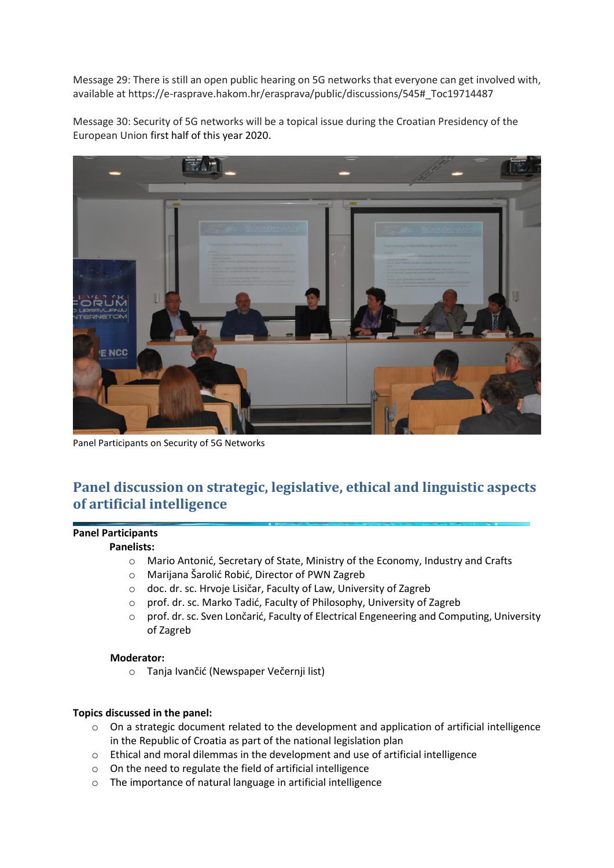Message 29: There is still an open public hearing on 5G networks that everyone can get involved with, available at https://e-rasprave.hakom.hr/erasprava/public/discussions/545#\_Toc19714487

Message 30: Security of 5G networks will be a topical issue during the Croatian Presidency of the European Union first half of this year 2020.



Panel Participants on Security of 5G Networks

# **Panel discussion on strategic, legislative, ethical and linguistic aspects of artificial intelligence**

#### **Panel Participants**

#### **Panelists:**

- o Mario Antonić, Secretary of State, Ministry of the Economy, Industry and Crafts
- o Marijana Šarolić Robić, Director of PWN Zagreb
- o doc. dr. sc. Hrvoje Lisičar, Faculty of Law, University of Zagreb
- o prof. dr. sc. Marko Tadić, Faculty of Philosophy, University of Zagreb
- o prof. dr. sc. Sven Lončarić, Faculty of Electrical Engeneering and Computing, University of Zagreb

#### **Moderator:**

o Tanja Ivančić (Newspaper Večernji list)

#### **Topics discussed in the panel:**

- o On a strategic document related to the development and application of artificial intelligence in the Republic of Croatia as part of the national legislation plan
- $\circ$  Ethical and moral dilemmas in the development and use of artificial intelligence
- o On the need to regulate the field of artificial intelligence
- o The importance of natural language in artificial intelligence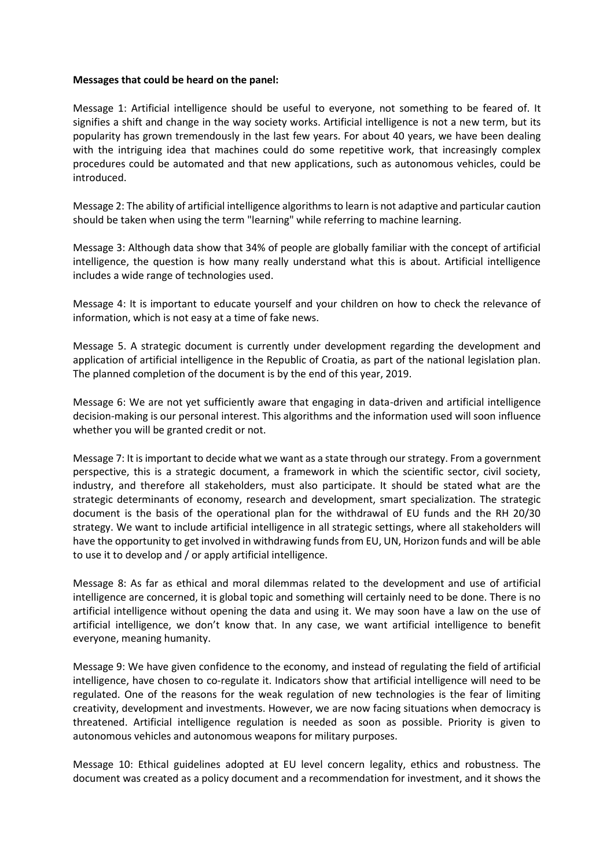#### **Messages that could be heard on the panel:**

Message 1: Artificial intelligence should be useful to everyone, not something to be feared of. It signifies a shift and change in the way society works. Artificial intelligence is not a new term, but its popularity has grown tremendously in the last few years. For about 40 years, we have been dealing with the intriguing idea that machines could do some repetitive work, that increasingly complex procedures could be automated and that new applications, such as autonomous vehicles, could be introduced.

Message 2: The ability of artificial intelligence algorithms to learn is not adaptive and particular caution should be taken when using the term "learning" while referring to machine learning.

Message 3: Although data show that 34% of people are globally familiar with the concept of artificial intelligence, the question is how many really understand what this is about. Artificial intelligence includes a wide range of technologies used.

Message 4: It is important to educate yourself and your children on how to check the relevance of information, which is not easy at a time of fake news.

Message 5. A strategic document is currently under development regarding the development and application of artificial intelligence in the Republic of Croatia, as part of the national legislation plan. The planned completion of the document is by the end of this year, 2019.

Message 6: We are not yet sufficiently aware that engaging in data-driven and artificial intelligence decision-making is our personal interest. This algorithms and the information used will soon influence whether you will be granted credit or not.

Message 7: It is important to decide what we want as a state through our strategy. From a government perspective, this is a strategic document, a framework in which the scientific sector, civil society, industry, and therefore all stakeholders, must also participate. It should be stated what are the strategic determinants of economy, research and development, smart specialization. The strategic document is the basis of the operational plan for the withdrawal of EU funds and the RH 20/30 strategy. We want to include artificial intelligence in all strategic settings, where all stakeholders will have the opportunity to get involved in withdrawing funds from EU, UN, Horizon funds and will be able to use it to develop and / or apply artificial intelligence.

Message 8: As far as ethical and moral dilemmas related to the development and use of artificial intelligence are concerned, it is global topic and something will certainly need to be done. There is no artificial intelligence without opening the data and using it. We may soon have a law on the use of artificial intelligence, we don't know that. In any case, we want artificial intelligence to benefit everyone, meaning humanity.

Message 9: We have given confidence to the economy, and instead of regulating the field of artificial intelligence, have chosen to co-regulate it. Indicators show that artificial intelligence will need to be regulated. One of the reasons for the weak regulation of new technologies is the fear of limiting creativity, development and investments. However, we are now facing situations when democracy is threatened. Artificial intelligence regulation is needed as soon as possible. Priority is given to autonomous vehicles and autonomous weapons for military purposes.

Message 10: Ethical guidelines adopted at EU level concern legality, ethics and robustness. The document was created as a policy document and a recommendation for investment, and it shows the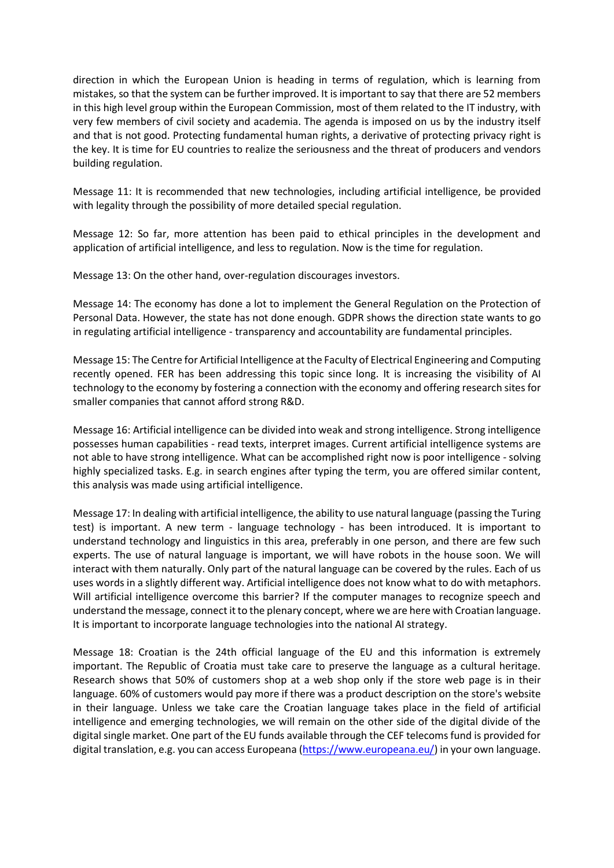direction in which the European Union is heading in terms of regulation, which is learning from mistakes, so that the system can be further improved. It is important to say that there are 52 members in this high level group within the European Commission, most of them related to the IT industry, with very few members of civil society and academia. The agenda is imposed on us by the industry itself and that is not good. Protecting fundamental human rights, a derivative of protecting privacy right is the key. It is time for EU countries to realize the seriousness and the threat of producers and vendors building regulation.

Message 11: It is recommended that new technologies, including artificial intelligence, be provided with legality through the possibility of more detailed special regulation.

Message 12: So far, more attention has been paid to ethical principles in the development and application of artificial intelligence, and less to regulation. Now is the time for regulation.

Message 13: On the other hand, over-regulation discourages investors.

Message 14: The economy has done a lot to implement the General Regulation on the Protection of Personal Data. However, the state has not done enough. GDPR shows the direction state wants to go in regulating artificial intelligence - transparency and accountability are fundamental principles.

Message 15: The Centre for Artificial Intelligence at the Faculty of Electrical Engineering and Computing recently opened. FER has been addressing this topic since long. It is increasing the visibility of AI technology to the economy by fostering a connection with the economy and offering research sites for smaller companies that cannot afford strong R&D.

Message 16: Artificial intelligence can be divided into weak and strong intelligence. Strong intelligence possesses human capabilities - read texts, interpret images. Current artificial intelligence systems are not able to have strong intelligence. What can be accomplished right now is poor intelligence - solving highly specialized tasks. E.g. in search engines after typing the term, you are offered similar content, this analysis was made using artificial intelligence.

Message 17: In dealing with artificial intelligence, the ability to use natural language (passing the Turing test) is important. A new term - language technology - has been introduced. It is important to understand technology and linguistics in this area, preferably in one person, and there are few such experts. The use of natural language is important, we will have robots in the house soon. We will interact with them naturally. Only part of the natural language can be covered by the rules. Each of us uses words in a slightly different way. Artificial intelligence does not know what to do with metaphors. Will artificial intelligence overcome this barrier? If the computer manages to recognize speech and understand the message, connect it to the plenary concept, where we are here with Croatian language. It is important to incorporate language technologies into the national AI strategy.

Message 18: Croatian is the 24th official language of the EU and this information is extremely important. The Republic of Croatia must take care to preserve the language as a cultural heritage. Research shows that 50% of customers shop at a web shop only if the store web page is in their language. 60% of customers would pay more if there was a product description on the store's website in their language. Unless we take care the Croatian language takes place in the field of artificial intelligence and emerging technologies, we will remain on the other side of the digital divide of the digital single market. One part of the EU funds available through the CEF telecoms fund is provided for digital translation, e.g. you can access Europeana [\(https://www.europeana.eu/\)](https://www.europeana.eu/) in your own language.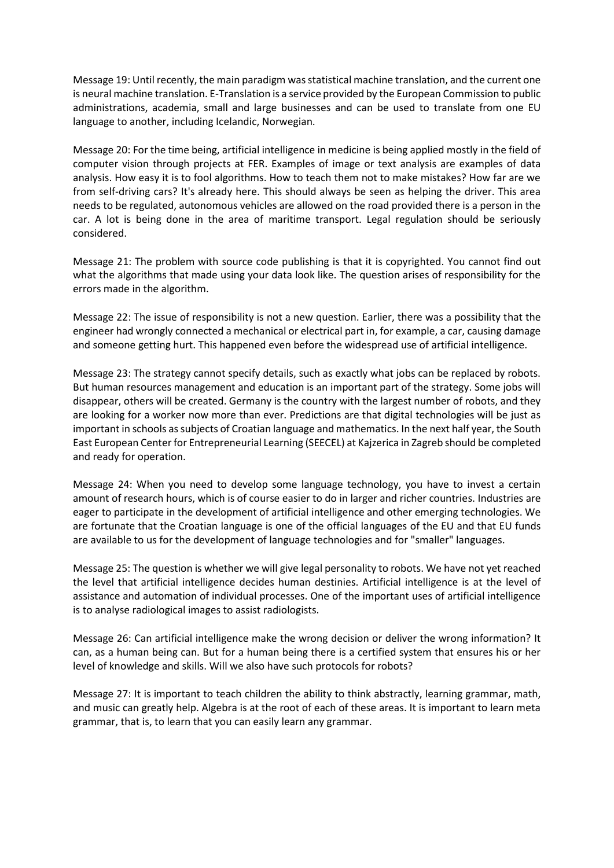Message 19: Until recently, the main paradigm was statistical machine translation, and the current one is neural machine translation. E-Translation is a service provided by the European Commission to public administrations, academia, small and large businesses and can be used to translate from one EU language to another, including Icelandic, Norwegian.

Message 20: For the time being, artificial intelligence in medicine is being applied mostly in the field of computer vision through projects at FER. Examples of image or text analysis are examples of data analysis. How easy it is to fool algorithms. How to teach them not to make mistakes? How far are we from self-driving cars? It's already here. This should always be seen as helping the driver. This area needs to be regulated, autonomous vehicles are allowed on the road provided there is a person in the car. A lot is being done in the area of maritime transport. Legal regulation should be seriously considered.

Message 21: The problem with source code publishing is that it is copyrighted. You cannot find out what the algorithms that made using your data look like. The question arises of responsibility for the errors made in the algorithm.

Message 22: The issue of responsibility is not a new question. Earlier, there was a possibility that the engineer had wrongly connected a mechanical or electrical part in, for example, a car, causing damage and someone getting hurt. This happened even before the widespread use of artificial intelligence.

Message 23: The strategy cannot specify details, such as exactly what jobs can be replaced by robots. But human resources management and education is an important part of the strategy. Some jobs will disappear, others will be created. Germany is the country with the largest number of robots, and they are looking for a worker now more than ever. Predictions are that digital technologies will be just as important in schools as subjects of Croatian language and mathematics. In the next half year, the South East European Center for Entrepreneurial Learning (SEECEL) at Kajzerica in Zagreb should be completed and ready for operation.

Message 24: When you need to develop some language technology, you have to invest a certain amount of research hours, which is of course easier to do in larger and richer countries. Industries are eager to participate in the development of artificial intelligence and other emerging technologies. We are fortunate that the Croatian language is one of the official languages of the EU and that EU funds are available to us for the development of language technologies and for "smaller" languages.

Message 25: The question is whether we will give legal personality to robots. We have not yet reached the level that artificial intelligence decides human destinies. Artificial intelligence is at the level of assistance and automation of individual processes. One of the important uses of artificial intelligence is to analyse radiological images to assist radiologists.

Message 26: Can artificial intelligence make the wrong decision or deliver the wrong information? It can, as a human being can. But for a human being there is a certified system that ensures his or her level of knowledge and skills. Will we also have such protocols for robots?

Message 27: It is important to teach children the ability to think abstractly, learning grammar, math, and music can greatly help. Algebra is at the root of each of these areas. It is important to learn meta grammar, that is, to learn that you can easily learn any grammar.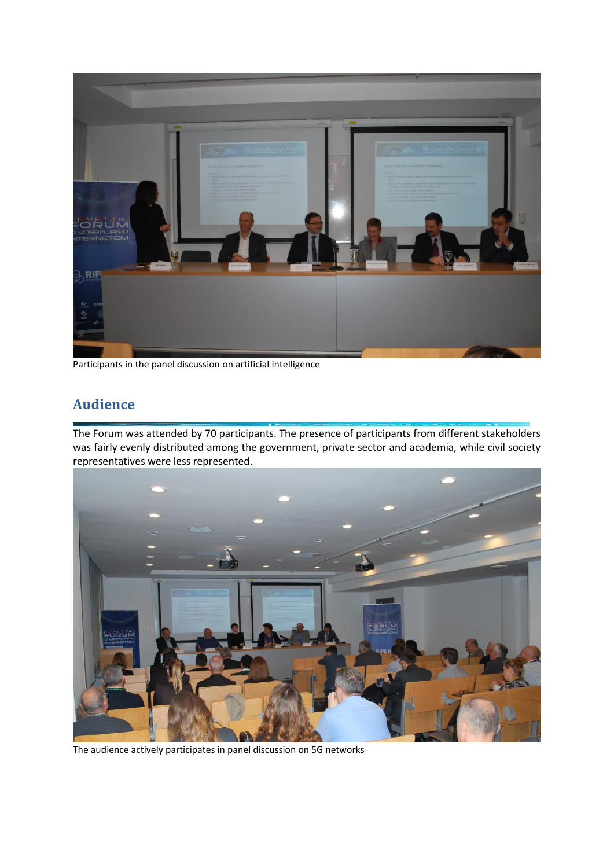

Participants in the panel discussion on artificial intelligence

# <span id="page-13-0"></span>**Audience**

The Forum was attended by 70 participants. The presence of participants from different stakeholders was fairly evenly distributed among the government, private sector and academia, while civil society representatives were less represented.



The audience actively participates in panel discussion on 5G networks